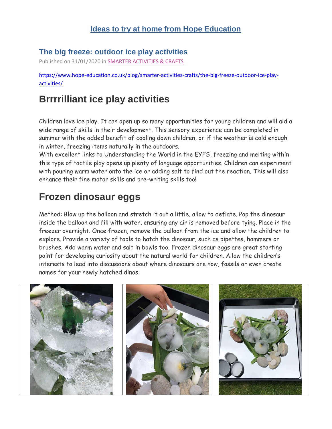#### **Ideas to try at home from Hope Education**

#### **The big freeze: outdoor ice play activities**

Published on 31/01/2020 in [SMARTER ACTIVITIES & CRAFTS](https://www.hope-education.co.uk/blog/smarter-activities-crafts/)

[https://www.hope-education.co.uk/blog/smarter-activities-crafts/the-big-freeze-outdoor-ice-play](https://www.hope-education.co.uk/blog/smarter-activities-crafts/the-big-freeze-outdoor-ice-play-activities/)[activities/](https://www.hope-education.co.uk/blog/smarter-activities-crafts/the-big-freeze-outdoor-ice-play-activities/)

### **Brrrrilliant ice play activities**

Children love ice play. It can open up so many opportunities for young children and will aid a wide range of skills in their development. This sensory experience can be completed in summer with the added benefit of cooling down children, or if the weather is cold enough in winter, freezing items naturally in the outdoors.

With excellent links to Understanding the World in the EYFS, freezing and melting within this type of tactile play opens up plenty of language opportunities. Children can experiment with pouring warm water onto the ice or adding salt to find out the reaction. This will also enhance their fine motor skills and pre-writing skills too!

## **Frozen dinosaur eggs**

Method: Blow up the balloon and stretch it out a little, allow to deflate. Pop the dinosaur inside the balloon and fill with water, ensuring any air is removed before tying. Place in the freezer overnight. Once frozen, remove the balloon from the ice and allow the children to explore. Provide a variety of tools to hatch the dinosaur, such as pipettes, hammers or brushes. Add warm water and salt in bowls too. Frozen dinosaur eggs are great starting point for developing curiosity about the natural world for children. Allow the children's interests to lead into discussions about where dinosaurs are now, fossils or even create names for your newly hatched dinos.

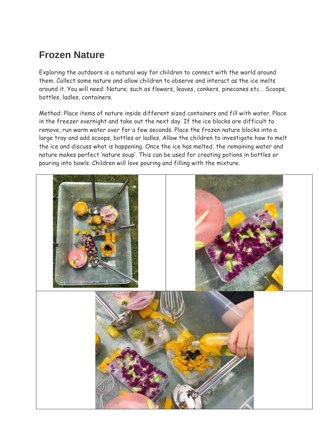### **Frozen Nature**

Exploring the outdoors is a natural way for children to connect with the world around them. Collect some nature and allow children to observe and interact as the ice melts around it. You will need: Nature; such as flowers, leaves, conkers, pinecones etc… Scoops, bottles, ladles, containers.

Method: Place items of nature inside different sized containers and fill with water. Place in the freezer overnight and take out the next day. If the ice blocks are difficult to remove, run warm water over for a few seconds. Place the frozen nature blocks into a large tray and add scoops, bottles or ladles. Allow the children to investigate how to melt the ice and discuss what is happening. Once the ice has melted, the remaining water and nature makes perfect 'nature soup'. This can be used for creating potions in bottles or pouring into bowls. Children will love pouring and filling with the mixture.